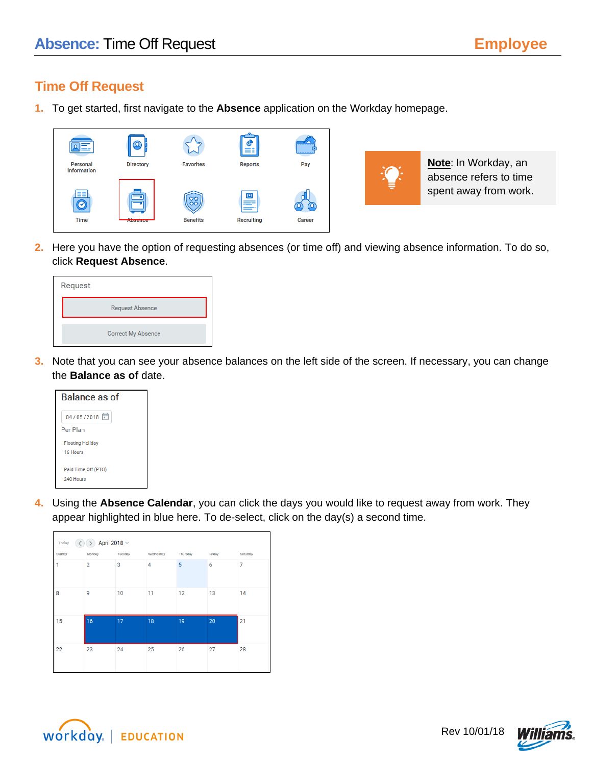## **Time Off Request**

**1.** To get started, first navigate to the **Absence** application on the Workday homepage.





**Note**: In Workday, an absence refers to time spent away from work.

**2.** Here you have the option of requesting absences (or time off) and viewing absence information. To do so, click **Request Absence**.

| Request |                           |
|---------|---------------------------|
|         | <b>Request Absence</b>    |
|         | <b>Correct My Absence</b> |

**3.** Note that you can see your absence balances on the left side of the screen. If necessary, you can change the **Balance as of** date.



**4.** Using the **Absence Calendar**, you can click the days you would like to request away from work. They appear highlighted in blue here. To de-select, click on the day(s) a second time.

| April 2018 $\vee$<br>Today |                |         |                |          |        |          |  |
|----------------------------|----------------|---------|----------------|----------|--------|----------|--|
| Sunday                     | Monday         | Tuesday | Wednesday      | Thursday | Friday | Saturday |  |
| 1                          | $\overline{2}$ | 3       | $\overline{4}$ | 5        | 6      | 7        |  |
| 8                          | 9              | 10      | 11             | 12       | 13     | 14       |  |
| 15                         | 16             | 17      | 18             | 19       | 20     | 21       |  |
| 22                         | 23             | 24      | 25             | 26       | 27     | 28       |  |



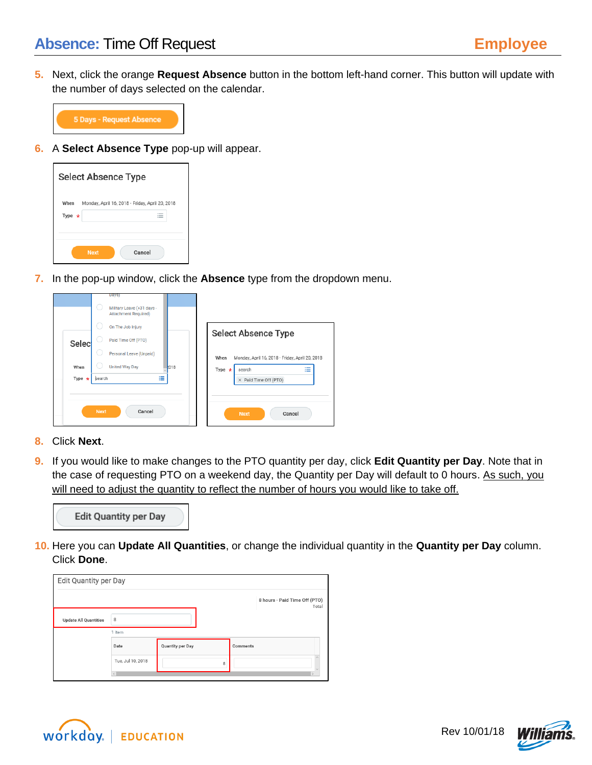**5.** Next, click the orange **Request Absence** button in the bottom left-hand corner. This button will update with the number of days selected on the calendar.



**6.** A **Select Absence Type** pop-up will appear.

| <b>Select Absence Type</b> |                                                 |  |  |  |
|----------------------------|-------------------------------------------------|--|--|--|
| When<br>Type $\star$       | Monday, April 16, 2018 - Friday, April 20, 2018 |  |  |  |
|                            | Cancel<br><b>Next</b>                           |  |  |  |

**7.** In the pop-up window, click the **Absence** type from the dropdown menu.

|              | Military Leave (+31 days -<br><b>Attachment Required)</b><br>On The Job Injury |                                                         |
|--------------|--------------------------------------------------------------------------------|---------------------------------------------------------|
|              |                                                                                |                                                         |
|              |                                                                                | <b>Select Absence Type</b>                              |
| Selec        | Paid Time Off (PTO)                                                            |                                                         |
|              | Personal Leave (Unpaid)                                                        | When<br>Monday, April 16, 2018 - Friday, April 20, 2018 |
| When         | <b>United Way Day</b>                                                          | 018<br>這<br>Type<br>search<br>法                         |
| Type $\star$ | 洼<br>search                                                                    | $\times$ Paid Time Off (PTO)                            |

- **8.** Click **Next**.
- **9.** If you would like to make changes to the PTO quantity per day, click **Edit Quantity per Day**. Note that in the case of requesting PTO on a weekend day, the Quantity per Day will default to 0 hours. As such, you will need to adjust the quantity to reflect the number of hours you would like to take off.



**10.** Here you can **Update All Quantities**, or change the individual quantity in the **Quantity per Day** column. Click **Done**.

| <b>Edit Quantity per Day</b> |                   |                         |   |          |                                        |
|------------------------------|-------------------|-------------------------|---|----------|----------------------------------------|
|                              |                   |                         |   |          | 8 hours - Paid Time Off (PTO)<br>Total |
| <b>Update All Quantities</b> | 8                 |                         |   |          |                                        |
|                              | 1 item            |                         |   |          |                                        |
|                              | Date              | <b>Quantity per Day</b> |   | Comments |                                        |
|                              | Tue, Jul 10, 2018 |                         | 8 |          |                                        |
|                              |                   |                         |   |          |                                        |